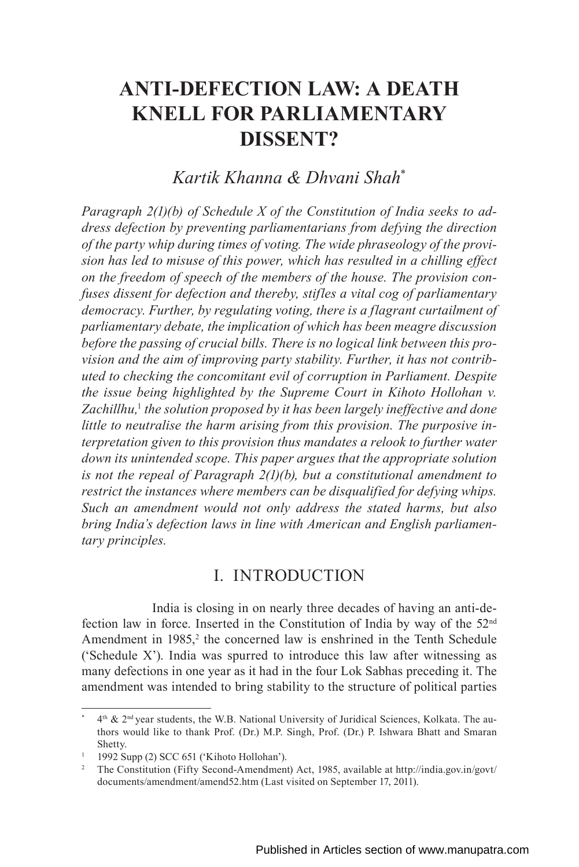# **ANTI-DEFECTION LAW: A DEATH KNELL FOR PARLIAMENTARY DISSENT?**

# *Kartik Khanna & Dhvani Shah*\*

*Paragraph 2(1)(b) of Schedule X of the Constitution of India seeks to address defection by preventing parliamentarians from defying the direction of the party whip during times of voting. The wide phraseology of the provision has led to misuse of this power, which has resulted in a chilling effect on the freedom of speech of the members of the house. The provision confuses dissent for defection and thereby, stifles a vital cog of parliamentary democracy. Further, by regulating voting, there is a flagrant curtailment of parliamentary debate, the implication of which has been meagre discussion before the passing of crucial bills. There is no logical link between this provision and the aim of improving party stability. Further, it has not contributed to checking the concomitant evil of corruption in Parliament. Despite the issue being highlighted by the Supreme Court in Kihoto Hollohan v.*  Zachillhu,<sup>1</sup> the solution proposed by it has been largely ineffective and done *little to neutralise the harm arising from this provision. The purposive interpretation given to this provision thus mandates a relook to further water down its unintended scope. This paper argues that the appropriate solution is not the repeal of Paragraph 2(1)(b), but a constitutional amendment to restrict the instances where members can be disqualified for defying whips. Such an amendment would not only address the stated harms, but also bring India's defection laws in line with American and English parliamentary principles.*

## I. INTRODUCTION

India is closing in on nearly three decades of having an anti-defection law in force. Inserted in the Constitution of India by way of the 52nd Amendment in  $1985$ ,<sup>2</sup> the concerned law is enshrined in the Tenth Schedule ('Schedule X'). India was spurred to introduce this law after witnessing as many defections in one year as it had in the four Lok Sabhas preceding it. The amendment was intended to bring stability to the structure of political parties

 $4<sup>th</sup>$  & 2<sup>nd</sup> year students, the W.B. National University of Juridical Sciences, Kolkata. The authors would like to thank Prof. (Dr.) M.P. Singh, Prof. (Dr.) P. Ishwara Bhatt and Smaran Shetty.

 $1$  1992 Supp (2) SCC 651 ('Kihoto Hollohan').

<sup>&</sup>lt;sup>2</sup> The Constitution (Fifty Second-Amendment) Act, 1985, available at http://india.gov.in/govt/ documents/amendment/amend52.htm (Last visited on September 17, 2011).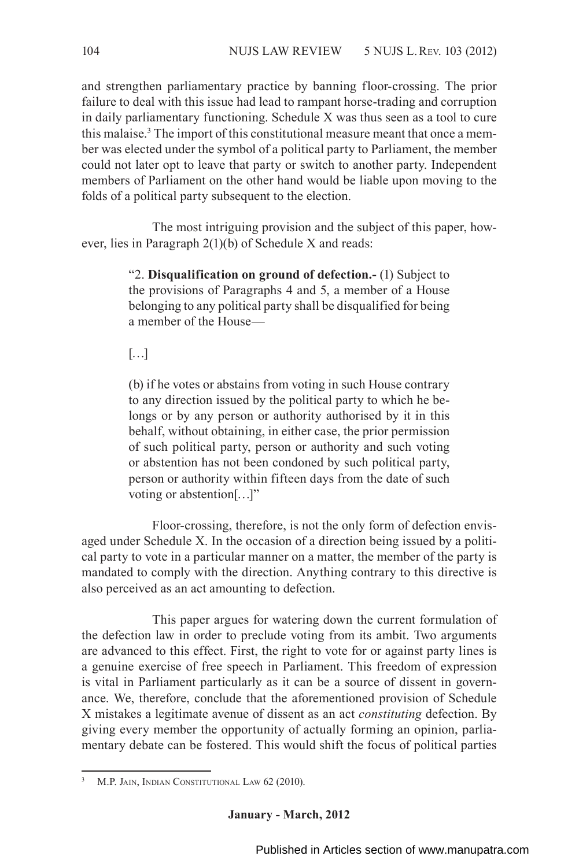and strengthen parliamentary practice by banning floor-crossing. The prior failure to deal with this issue had lead to rampant horse-trading and corruption in daily parliamentary functioning. Schedule X was thus seen as a tool to cure this malaise.<sup>3</sup> The import of this constitutional measure meant that once a member was elected under the symbol of a political party to Parliament, the member could not later opt to leave that party or switch to another party. Independent members of Parliament on the other hand would be liable upon moving to the folds of a political party subsequent to the election.

The most intriguing provision and the subject of this paper, however, lies in Paragraph 2(1)(b) of Schedule X and reads:

> "2. **Disqualification on ground of defection.-** (1) Subject to the provisions of Paragraphs 4 and 5, a member of a House belonging to any political party shall be disqualified for being a member of the House—

 $[\ldots]$ 

(b) if he votes or abstains from voting in such House contrary to any direction issued by the political party to which he belongs or by any person or authority authorised by it in this behalf, without obtaining, in either case, the prior permission of such political party, person or authority and such voting or abstention has not been condoned by such political party, person or authority within fifteen days from the date of such voting or abstention[…]"

Floor-crossing, therefore, is not the only form of defection envisaged under Schedule X. In the occasion of a direction being issued by a political party to vote in a particular manner on a matter, the member of the party is mandated to comply with the direction. Anything contrary to this directive is also perceived as an act amounting to defection.

This paper argues for watering down the current formulation of the defection law in order to preclude voting from its ambit. Two arguments are advanced to this effect. First, the right to vote for or against party lines is a genuine exercise of free speech in Parliament. This freedom of expression is vital in Parliament particularly as it can be a source of dissent in governance. We, therefore, conclude that the aforementioned provision of Schedule X mistakes a legitimate avenue of dissent as an act *constituting* defection. By giving every member the opportunity of actually forming an opinion, parliamentary debate can be fostered. This would shift the focus of political parties

M.P. JAIN, INDIAN CONSTITUTIONAL LAW 62 (2010).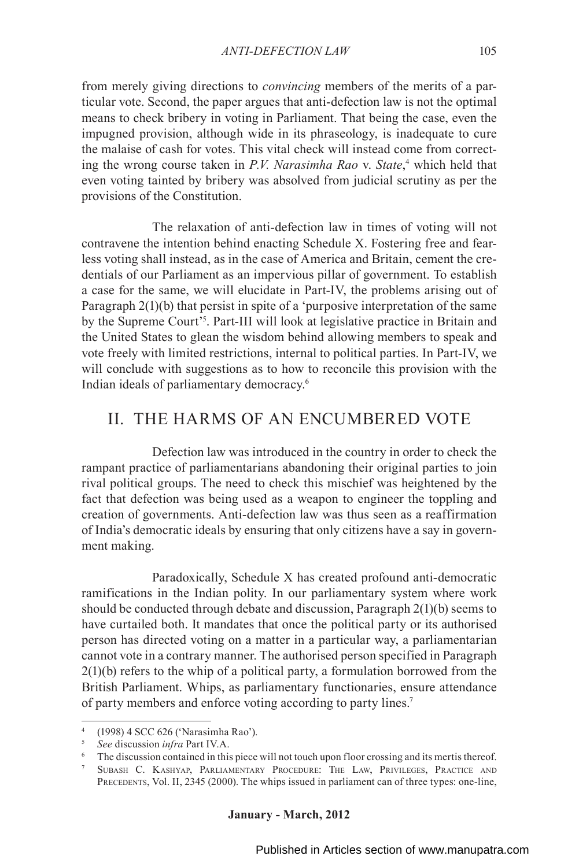from merely giving directions to *convincing* members of the merits of a particular vote. Second, the paper argues that anti-defection law is not the optimal means to check bribery in voting in Parliament. That being the case, even the impugned provision, although wide in its phraseology, is inadequate to cure the malaise of cash for votes. This vital check will instead come from correcting the wrong course taken in *P.V. Narasimha Rao* v. *State*, 4 which held that even voting tainted by bribery was absolved from judicial scrutiny as per the provisions of the Constitution.

The relaxation of anti-defection law in times of voting will not contravene the intention behind enacting Schedule X. Fostering free and fearless voting shall instead, as in the case of America and Britain, cement the credentials of our Parliament as an impervious pillar of government. To establish a case for the same, we will elucidate in Part-IV, the problems arising out of Paragraph 2(1)(b) that persist in spite of a 'purposive interpretation of the same by the Supreme Court'<sup>5</sup>. Part-III will look at legislative practice in Britain and the United States to glean the wisdom behind allowing members to speak and vote freely with limited restrictions, internal to political parties. In Part-IV, we will conclude with suggestions as to how to reconcile this provision with the Indian ideals of parliamentary democracy.6

### II. THE HARMS OF AN ENCUMBERED VOTE

Defection law was introduced in the country in order to check the rampant practice of parliamentarians abandoning their original parties to join rival political groups. The need to check this mischief was heightened by the fact that defection was being used as a weapon to engineer the toppling and creation of governments. Anti-defection law was thus seen as a reaffirmation of India's democratic ideals by ensuring that only citizens have a say in government making.

Paradoxically, Schedule X has created profound anti-democratic ramifications in the Indian polity. In our parliamentary system where work should be conducted through debate and discussion, Paragraph 2(1)(b) seems to have curtailed both. It mandates that once the political party or its authorised person has directed voting on a matter in a particular way, a parliamentarian cannot vote in a contrary manner. The authorised person specified in Paragraph  $2(1)(b)$  refers to the whip of a political party, a formulation borrowed from the British Parliament. Whips, as parliamentary functionaries, ensure attendance of party members and enforce voting according to party lines.7

<sup>4</sup> (1998) 4 SCC 626 ('Narasimha Rao').

<sup>5</sup> *See* discussion *infra* Part IV.A.

<sup>6</sup> The discussion contained in this piece will not touch upon floor crossing and its mertis thereof. 7 Subash C. Kashyap, Parliamentary Procedure: The Law, Privileges, Practice and

PRECEDENTS, Vol. II, 2345 (2000). The whips issued in parliament can of three types: one-line,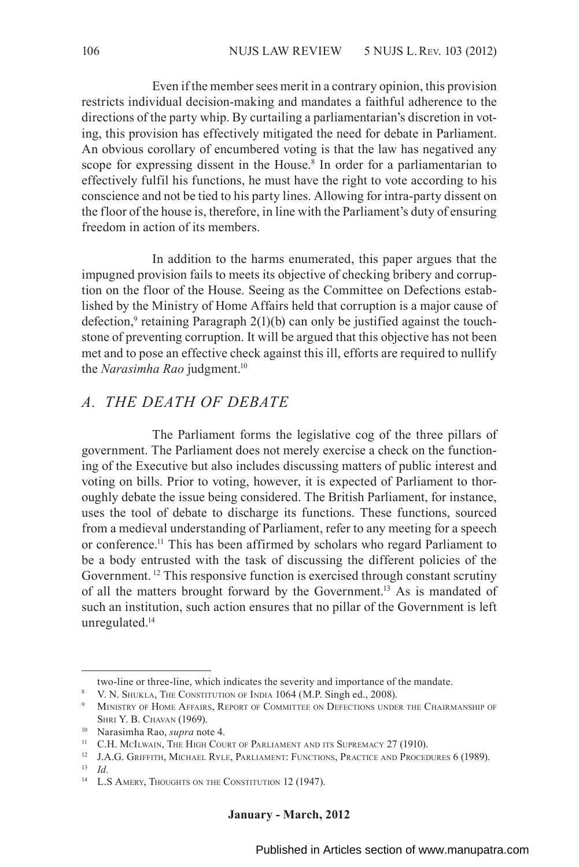Even if the member sees merit in a contrary opinion, this provision restricts individual decision-making and mandates a faithful adherence to the directions of the party whip. By curtailing a parliamentarian's discretion in voting, this provision has effectively mitigated the need for debate in Parliament. An obvious corollary of encumbered voting is that the law has negatived any scope for expressing dissent in the House.<sup>8</sup> In order for a parliamentarian to effectively fulfil his functions, he must have the right to vote according to his conscience and not be tied to his party lines. Allowing for intra-party dissent on the floor of the house is, therefore, in line with the Parliament's duty of ensuring freedom in action of its members.

In addition to the harms enumerated, this paper argues that the impugned provision fails to meets its objective of checking bribery and corruption on the floor of the House. Seeing as the Committee on Defections established by the Ministry of Home Affairs held that corruption is a major cause of defection,<sup>9</sup> retaining Paragraph  $2(1)(b)$  can only be justified against the touchstone of preventing corruption. It will be argued that this objective has not been met and to pose an effective check against this ill, efforts are required to nullify the *Narasimha Rao* judgment.<sup>10</sup>

### *A. THE DEATH OF DEBATE*

The Parliament forms the legislative cog of the three pillars of government. The Parliament does not merely exercise a check on the functioning of the Executive but also includes discussing matters of public interest and voting on bills. Prior to voting, however, it is expected of Parliament to thoroughly debate the issue being considered. The British Parliament, for instance, uses the tool of debate to discharge its functions. These functions, sourced from a medieval understanding of Parliament, refer to any meeting for a speech or conference.11 This has been affirmed by scholars who regard Parliament to be a body entrusted with the task of discussing the different policies of the Government. 12 This responsive function is exercised through constant scrutiny of all the matters brought forward by the Government.13 As is mandated of such an institution, such action ensures that no pillar of the Government is left unregulated.<sup>14</sup>

<sup>12</sup> J.A.G. GRIFFITH, MICHAEL RYLE, PARLIAMENT: FUNCTIONS, PRACTICE AND PROCEDURES 6 (1989).

two-line or three-line, which indicates the severity and importance of the mandate.

<sup>8</sup> V. N. Shukla, The Constitution of India 1064 (M.P. Singh ed., 2008).

<sup>&</sup>lt;sup>9</sup> MINISTRY OF HOME AFFAIRS, REPORT OF COMMITTEE ON DEFECTIONS UNDER THE CHAIRMANSHIP OF Shri Y. B. Chavan (1969).

<sup>10</sup> Narasimha Rao, *supra* note 4.

<sup>&</sup>lt;sup>11</sup> C.H. McILwain, The High Court of Parliament and its Supremacy 27 (1910).

<sup>13</sup> *Id.*

<sup>&</sup>lt;sup>14</sup> L.S Amery, Thoughts on the Constitution 12 (1947).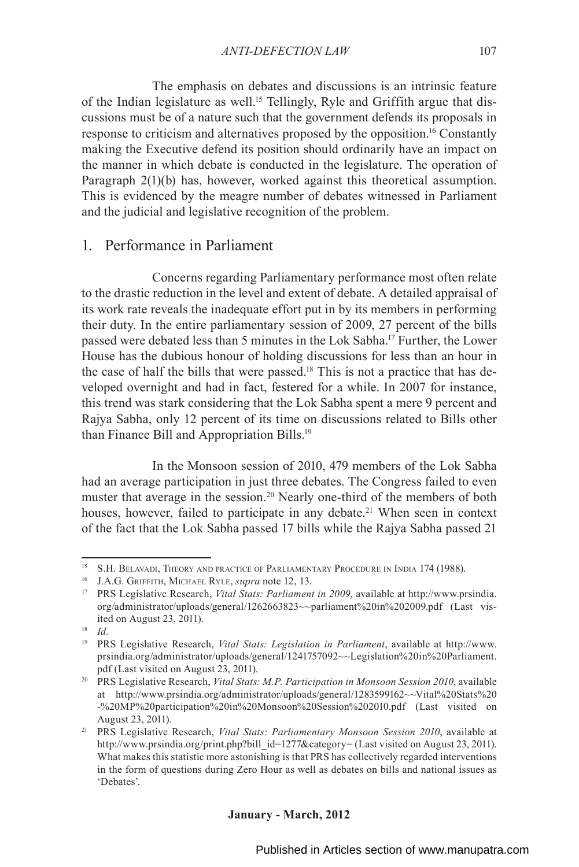The emphasis on debates and discussions is an intrinsic feature of the Indian legislature as well.15 Tellingly, Ryle and Griffith argue that discussions must be of a nature such that the government defends its proposals in response to criticism and alternatives proposed by the opposition.16 Constantly making the Executive defend its position should ordinarily have an impact on the manner in which debate is conducted in the legislature. The operation of Paragraph 2(1)(b) has, however, worked against this theoretical assumption. This is evidenced by the meagre number of debates witnessed in Parliament and the judicial and legislative recognition of the problem.

### 1. Performance in Parliament

Concerns regarding Parliamentary performance most often relate to the drastic reduction in the level and extent of debate. A detailed appraisal of its work rate reveals the inadequate effort put in by its members in performing their duty. In the entire parliamentary session of 2009, 27 percent of the bills passed were debated less than 5 minutes in the Lok Sabha.17 Further, the Lower House has the dubious honour of holding discussions for less than an hour in the case of half the bills that were passed.<sup>18</sup> This is not a practice that has developed overnight and had in fact, festered for a while. In 2007 for instance, this trend was stark considering that the Lok Sabha spent a mere 9 percent and Rajya Sabha, only 12 percent of its time on discussions related to Bills other than Finance Bill and Appropriation Bills.19

In the Monsoon session of 2010, 479 members of the Lok Sabha had an average participation in just three debates. The Congress failed to even muster that average in the session.<sup>20</sup> Nearly one-third of the members of both houses, however, failed to participate in any debate.<sup>21</sup> When seen in context of the fact that the Lok Sabha passed 17 bills while the Rajya Sabha passed 21

<sup>15</sup> S.H. Belavadi, Theory and practice of Parliamentary Procedure in India 174 (1988).

<sup>16</sup> J.A.G. Griffith, Michael Ryle, *supra* note 12, 13.

<sup>17</sup> PRS Legislative Research, *Vital Stats: Parliament in 2009*, available at http://www.prsindia. org/administrator/uploads/general/1262663823~~parliament%20in%202009.pdf (Last visited on August 23, 2011).

<sup>18</sup> *Id.*

<sup>19</sup> PRS Legislative Research, *Vital Stats: Legislation in Parliament*, available at http://www. prsindia.org/administrator/uploads/general/1241757092~~Legislation%20in%20Parliament. pdf (Last visited on August 23, 2011).

<sup>20</sup> PRS Legislative Research, *Vital Stats: M.P. Participation in Monsoon Session 2010*, available at http://www.prsindia.org/administrator/uploads/general/1283599162~~Vital%20Stats%20 -%20MP%20participation%20in%20Monsoon%20Session%202010.pdf (Last visited on August 23, 2011).

<sup>21</sup> PRS Legislative Research, *Vital Stats: Parliamentary Monsoon Session 2010*, available at http://www.prsindia.org/print.php?bill\_id=1277&category= (Last visited on August 23, 2011). What makes this statistic more astonishing is that PRS has collectively regarded interventions in the form of questions during Zero Hour as well as debates on bills and national issues as 'Debates'.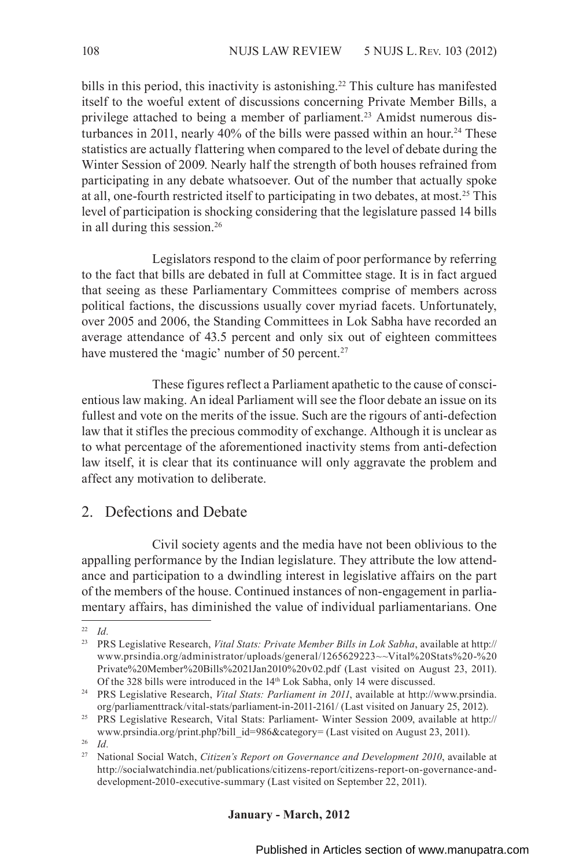bills in this period, this inactivity is astonishing.<sup>22</sup> This culture has manifested itself to the woeful extent of discussions concerning Private Member Bills, a privilege attached to being a member of parliament.<sup>23</sup> Amidst numerous disturbances in 2011, nearly 40% of the bills were passed within an hour.<sup>24</sup> These statistics are actually flattering when compared to the level of debate during the Winter Session of 2009. Nearly half the strength of both houses refrained from participating in any debate whatsoever. Out of the number that actually spoke at all, one-fourth restricted itself to participating in two debates, at most.25 This level of participation is shocking considering that the legislature passed 14 bills in all during this session.26

Legislators respond to the claim of poor performance by referring to the fact that bills are debated in full at Committee stage. It is in fact argued that seeing as these Parliamentary Committees comprise of members across political factions, the discussions usually cover myriad facets. Unfortunately, over 2005 and 2006, the Standing Committees in Lok Sabha have recorded an average attendance of 43.5 percent and only six out of eighteen committees have mustered the 'magic' number of 50 percent.<sup>27</sup>

These figures reflect a Parliament apathetic to the cause of conscientious law making. An ideal Parliament will see the floor debate an issue on its fullest and vote on the merits of the issue. Such are the rigours of anti-defection law that it stifles the precious commodity of exchange. Although it is unclear as to what percentage of the aforementioned inactivity stems from anti-defection law itself, it is clear that its continuance will only aggravate the problem and affect any motivation to deliberate.

### 2. Defections and Debate

Civil society agents and the media have not been oblivious to the appalling performance by the Indian legislature. They attribute the low attendance and participation to a dwindling interest in legislative affairs on the part of the members of the house. Continued instances of non-engagement in parliamentary affairs, has diminished the value of individual parliamentarians. One

<sup>22</sup> *Id.*

<sup>23</sup> PRS Legislative Research, *Vital Stats: Private Member Bills in Lok Sabha*, available at http:// www.prsindia.org/administrator/uploads/general/1265629223~~Vital%20Stats%20-%20 Private%20Member%20Bills%2021Jan2010%20v02.pdf (Last visited on August 23, 2011). Of the 328 bills were introduced in the 14th Lok Sabha, only 14 were discussed.

<sup>24</sup> PRS Legislative Research, *Vital Stats: Parliament in 2011*, available at http://www.prsindia. org/parliamenttrack/vital-stats/parliament-in-2011-2161/ (Last visited on January 25, 2012).

<sup>25</sup> PRS Legislative Research, Vital Stats: Parliament- Winter Session 2009, available at http:// www.prsindia.org/print.php?bill\_id=986&category= (Last visited on August 23, 2011).

<sup>26</sup> *Id.*

<sup>27</sup> National Social Watch, *Citizen's Report on Governance and Development 2010*, available at http://socialwatchindia.net/publications/citizens-report/citizens-report-on-governance-anddevelopment-2010-executive-summary (Last visited on September 22, 2011).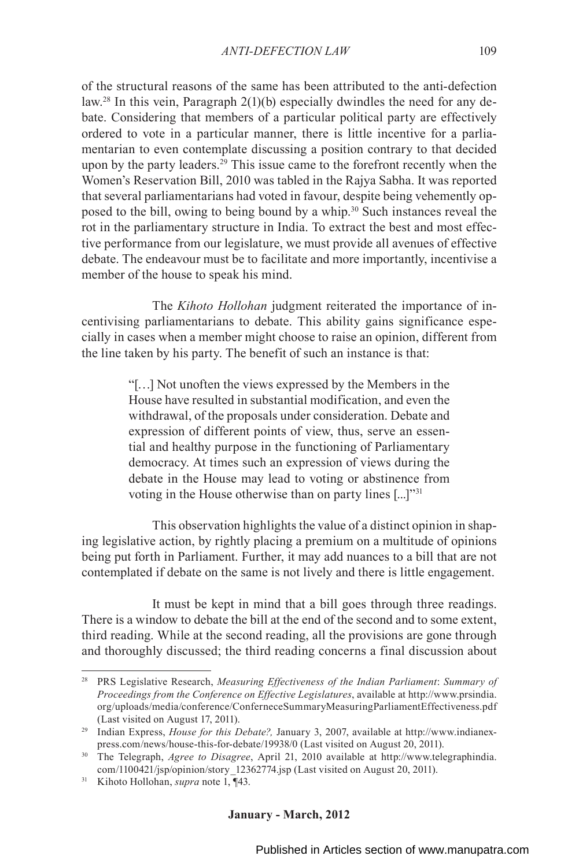of the structural reasons of the same has been attributed to the anti-defection law.28 In this vein, Paragraph 2(1)(b) especially dwindles the need for any debate. Considering that members of a particular political party are effectively ordered to vote in a particular manner, there is little incentive for a parliamentarian to even contemplate discussing a position contrary to that decided upon by the party leaders.<sup>29</sup> This issue came to the forefront recently when the Women's Reservation Bill, 2010 was tabled in the Rajya Sabha. It was reported that several parliamentarians had voted in favour, despite being vehemently opposed to the bill, owing to being bound by a whip.30 Such instances reveal the rot in the parliamentary structure in India. To extract the best and most effective performance from our legislature, we must provide all avenues of effective debate. The endeavour must be to facilitate and more importantly, incentivise a member of the house to speak his mind.

The *Kihoto Hollohan* judgment reiterated the importance of incentivising parliamentarians to debate. This ability gains significance especially in cases when a member might choose to raise an opinion, different from the line taken by his party. The benefit of such an instance is that:

> "[…] Not unoften the views expressed by the Members in the House have resulted in substantial modification, and even the withdrawal, of the proposals under consideration. Debate and expression of different points of view, thus, serve an essential and healthy purpose in the functioning of Parliamentary democracy. At times such an expression of views during the debate in the House may lead to voting or abstinence from voting in the House otherwise than on party lines [...]"<sup>31</sup>

This observation highlights the value of a distinct opinion in shaping legislative action, by rightly placing a premium on a multitude of opinions being put forth in Parliament. Further, it may add nuances to a bill that are not contemplated if debate on the same is not lively and there is little engagement.

It must be kept in mind that a bill goes through three readings. There is a window to debate the bill at the end of the second and to some extent, third reading. While at the second reading, all the provisions are gone through and thoroughly discussed; the third reading concerns a final discussion about

<sup>28</sup> PRS Legislative Research, *Measuring Effectiveness of the Indian Parliament*: *Summary of Proceedings from the Conference on Effective Legislatures*, available at http://www.prsindia. org/uploads/media/conference/ConferneceSummaryMeasuringParliamentEffectiveness.pdf (Last visited on August 17, 2011).

<sup>&</sup>lt;sup>29</sup> Indian Express, *House for this Debate?*, January 3, 2007, available at http://www.indianexpress.com/news/house-this-for-debate/19938/0 (Last visited on August 20, 2011).

<sup>30</sup> The Telegraph, *Agree to Disagree*, April 21, 2010 available at http://www.telegraphindia. com/1100421/jsp/opinion/story\_12362774.jsp (Last visited on August 20, 2011).

<sup>31</sup> Kihoto Hollohan, *supra* note 1, ¶43.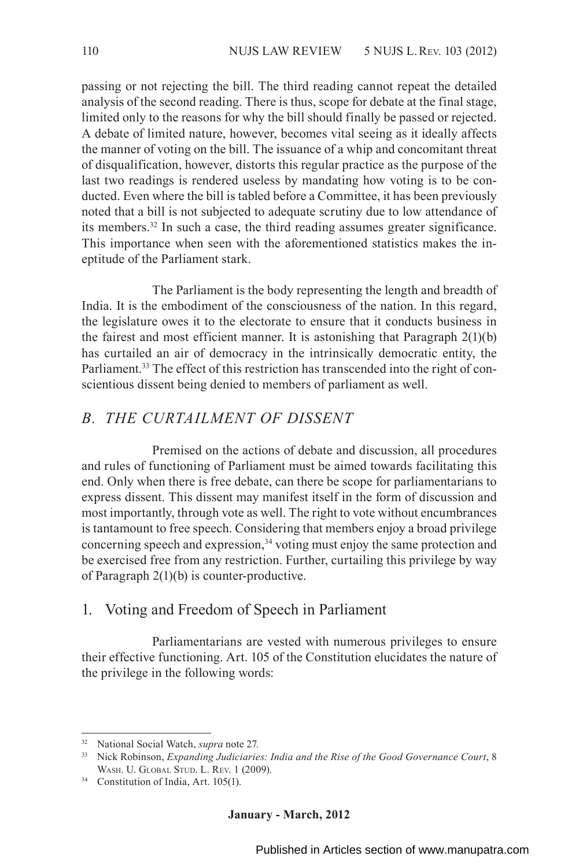passing or not rejecting the bill. The third reading cannot repeat the detailed analysis of the second reading. There is thus, scope for debate at the final stage, limited only to the reasons for why the bill should finally be passed or rejected. A debate of limited nature, however, becomes vital seeing as it ideally affects the manner of voting on the bill. The issuance of a whip and concomitant threat of disqualification, however, distorts this regular practice as the purpose of the last two readings is rendered useless by mandating how voting is to be conducted. Even where the bill is tabled before a Committee, it has been previously noted that a bill is not subjected to adequate scrutiny due to low attendance of its members.32 In such a case, the third reading assumes greater significance. This importance when seen with the aforementioned statistics makes the ineptitude of the Parliament stark.

The Parliament is the body representing the length and breadth of India. It is the embodiment of the consciousness of the nation. In this regard, the legislature owes it to the electorate to ensure that it conducts business in the fairest and most efficient manner. It is astonishing that Paragraph 2(1)(b) has curtailed an air of democracy in the intrinsically democratic entity, the Parliament.<sup>33</sup> The effect of this restriction has transcended into the right of conscientious dissent being denied to members of parliament as well.

### *B. THE CURTAILMENT OF DISSENT*

Premised on the actions of debate and discussion, all procedures and rules of functioning of Parliament must be aimed towards facilitating this end. Only when there is free debate, can there be scope for parliamentarians to express dissent. This dissent may manifest itself in the form of discussion and most importantly, through vote as well. The right to vote without encumbrances is tantamount to free speech. Considering that members enjoy a broad privilege concerning speech and expression,  $34$  voting must enjoy the same protection and be exercised free from any restriction. Further, curtailing this privilege by way of Paragraph 2(1)(b) is counter-productive.

#### 1. Voting and Freedom of Speech in Parliament

Parliamentarians are vested with numerous privileges to ensure their effective functioning. Art. 105 of the Constitution elucidates the nature of the privilege in the following words:

<sup>32</sup> National Social Watch, *supra* note 27*.*

<sup>33</sup> Nick Robinson, *Expanding Judiciaries: India and the Rise of the Good Governance Court*, 8 Wash. U. Global Stud. L. Rev. 1 (2009).

<sup>34</sup> Constitution of India, Art. 105(1).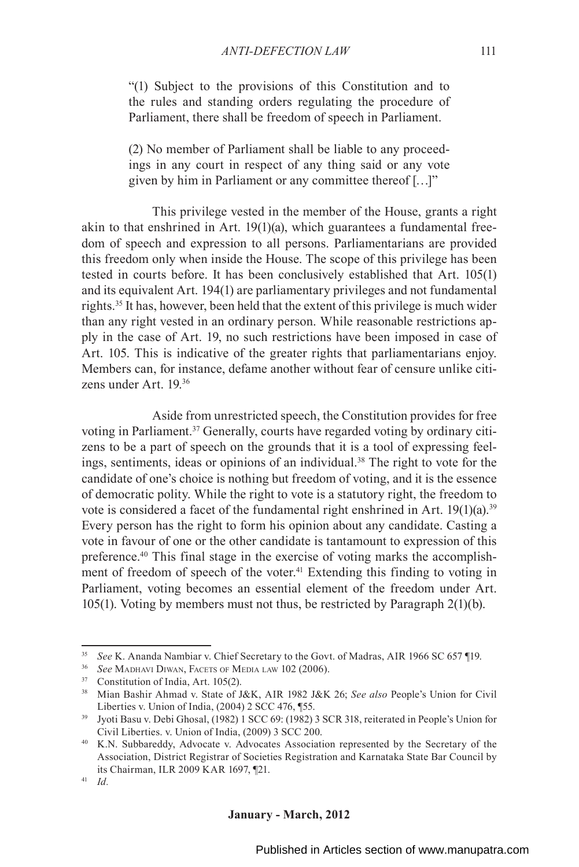"(1) Subject to the provisions of this Constitution and to the rules and standing orders regulating the procedure of Parliament, there shall be freedom of speech in Parliament.

(2) No member of Parliament shall be liable to any proceedings in any court in respect of any thing said or any vote given by him in Parliament or any committee thereof […]"

This privilege vested in the member of the House, grants a right akin to that enshrined in Art. 19(1)(a), which guarantees a fundamental freedom of speech and expression to all persons. Parliamentarians are provided this freedom only when inside the House. The scope of this privilege has been tested in courts before. It has been conclusively established that Art. 105(1) and its equivalent Art. 194(1) are parliamentary privileges and not fundamental rights.35 It has, however, been held that the extent of this privilege is much wider than any right vested in an ordinary person. While reasonable restrictions apply in the case of Art. 19, no such restrictions have been imposed in case of Art. 105. This is indicative of the greater rights that parliamentarians enjoy. Members can, for instance, defame another without fear of censure unlike citizens under Art. 19.36

Aside from unrestricted speech, the Constitution provides for free voting in Parliament.37 Generally, courts have regarded voting by ordinary citizens to be a part of speech on the grounds that it is a tool of expressing feelings, sentiments, ideas or opinions of an individual.<sup>38</sup> The right to vote for the candidate of one's choice is nothing but freedom of voting, and it is the essence of democratic polity. While the right to vote is a statutory right, the freedom to vote is considered a facet of the fundamental right enshrined in Art.  $19(1)(a)$ .<sup>39</sup> Every person has the right to form his opinion about any candidate. Casting a vote in favour of one or the other candidate is tantamount to expression of this preference.40 This final stage in the exercise of voting marks the accomplishment of freedom of speech of the voter.<sup>41</sup> Extending this finding to voting in Parliament, voting becomes an essential element of the freedom under Art. 105(1). Voting by members must not thus, be restricted by Paragraph 2(1)(b).

<sup>35</sup> *See* K. Ananda Nambiar v. Chief Secretary to the Govt. of Madras, AIR 1966 SC 657 ¶19.

<sup>36</sup> *See* Madhavi Diwan, Facets of Media law 102 (2006).

<sup>37</sup> Constitution of India, Art. 105(2).

<sup>38</sup> Mian Bashir Ahmad v. State of J&K, AIR 1982 J&K 26; *See also* People's Union for Civil Liberties v. Union of India, (2004) 2 SCC 476, ¶55.

<sup>39</sup> Jyoti Basu v. Debi Ghosal, (1982) 1 SCC 69: (1982) 3 SCR 318, reiterated in People's Union for Civil Liberties. v. Union of India, (2009) 3 SCC 200.

<sup>40</sup> K.N. Subbareddy, Advocate v. Advocates Association represented by the Secretary of the Association, District Registrar of Societies Registration and Karnataka State Bar Council by its Chairman, ILR 2009 KAR 1697, ¶21.

<sup>41</sup> *Id.*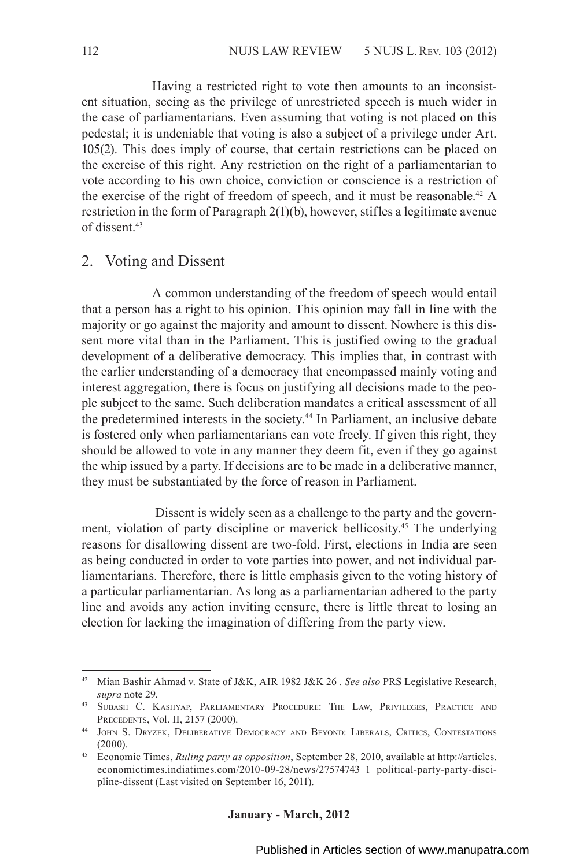Having a restricted right to vote then amounts to an inconsistent situation, seeing as the privilege of unrestricted speech is much wider in the case of parliamentarians. Even assuming that voting is not placed on this pedestal; it is undeniable that voting is also a subject of a privilege under Art. 105(2). This does imply of course, that certain restrictions can be placed on the exercise of this right. Any restriction on the right of a parliamentarian to vote according to his own choice, conviction or conscience is a restriction of the exercise of the right of freedom of speech, and it must be reasonable.<sup>42</sup> A restriction in the form of Paragraph 2(1)(b), however, stifles a legitimate avenue of dissent<sup>43</sup>

### 2. Voting and Dissent

A common understanding of the freedom of speech would entail that a person has a right to his opinion. This opinion may fall in line with the majority or go against the majority and amount to dissent. Nowhere is this dissent more vital than in the Parliament. This is justified owing to the gradual development of a deliberative democracy. This implies that, in contrast with the earlier understanding of a democracy that encompassed mainly voting and interest aggregation, there is focus on justifying all decisions made to the people subject to the same. Such deliberation mandates a critical assessment of all the predetermined interests in the society.44 In Parliament, an inclusive debate is fostered only when parliamentarians can vote freely. If given this right, they should be allowed to vote in any manner they deem fit, even if they go against the whip issued by a party. If decisions are to be made in a deliberative manner, they must be substantiated by the force of reason in Parliament.

 Dissent is widely seen as a challenge to the party and the government, violation of party discipline or maverick bellicosity.45 The underlying reasons for disallowing dissent are two-fold. First, elections in India are seen as being conducted in order to vote parties into power, and not individual parliamentarians. Therefore, there is little emphasis given to the voting history of a particular parliamentarian. As long as a parliamentarian adhered to the party line and avoids any action inviting censure, there is little threat to losing an election for lacking the imagination of differing from the party view.

<sup>42</sup> Mian Bashir Ahmad v. State of J&K, AIR 1982 J&K 26 . *See also* PRS Legislative Research, *supra* note 29.

<sup>43</sup> Subash C. Kashyap, Parliamentary Procedure: The Law, Privileges, Practice and Precedents, Vol. II, 2157 (2000).

<sup>44</sup> John S. Dryzek, Deliberative Democracy and Beyond: Liberals, Critics, Contestations (2000).

<sup>45</sup> Economic Times, *Ruling party as opposition*, September 28, 2010, available at http://articles. economictimes.indiatimes.com/2010-09-28/news/27574743\_1\_political-party-party-discipline-dissent (Last visited on September 16, 2011).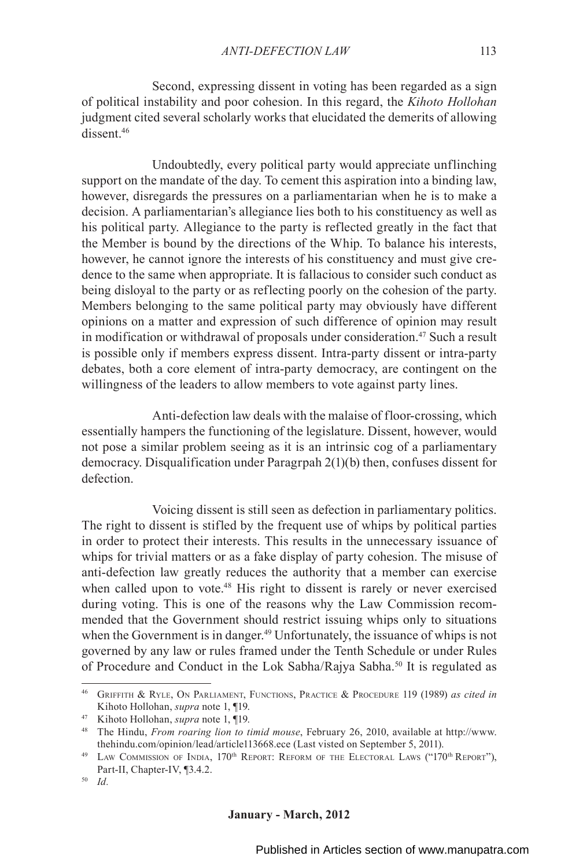Second, expressing dissent in voting has been regarded as a sign of political instability and poor cohesion. In this regard, the *Kihoto Hollohan* judgment cited several scholarly works that elucidated the demerits of allowing dissent.<sup>46</sup>

Undoubtedly, every political party would appreciate unflinching support on the mandate of the day. To cement this aspiration into a binding law, however, disregards the pressures on a parliamentarian when he is to make a decision. A parliamentarian's allegiance lies both to his constituency as well as his political party. Allegiance to the party is reflected greatly in the fact that the Member is bound by the directions of the Whip. To balance his interests, however, he cannot ignore the interests of his constituency and must give credence to the same when appropriate. It is fallacious to consider such conduct as being disloyal to the party or as reflecting poorly on the cohesion of the party. Members belonging to the same political party may obviously have different opinions on a matter and expression of such difference of opinion may result in modification or withdrawal of proposals under consideration.<sup>47</sup> Such a result is possible only if members express dissent. Intra-party dissent or intra-party debates, both a core element of intra-party democracy, are contingent on the willingness of the leaders to allow members to vote against party lines.

Anti-defection law deals with the malaise of floor-crossing, which essentially hampers the functioning of the legislature. Dissent, however, would not pose a similar problem seeing as it is an intrinsic cog of a parliamentary democracy. Disqualification under Paragrpah 2(1)(b) then, confuses dissent for defection.

Voicing dissent is still seen as defection in parliamentary politics. The right to dissent is stifled by the frequent use of whips by political parties in order to protect their interests. This results in the unnecessary issuance of whips for trivial matters or as a fake display of party cohesion. The misuse of anti-defection law greatly reduces the authority that a member can exercise when called upon to vote.<sup>48</sup> His right to dissent is rarely or never exercised during voting. This is one of the reasons why the Law Commission recommended that the Government should restrict issuing whips only to situations when the Government is in danger.<sup>49</sup> Unfortunately, the issuance of whips is not governed by any law or rules framed under the Tenth Schedule or under Rules of Procedure and Conduct in the Lok Sabha/Rajya Sabha.50 It is regulated as

<sup>46</sup> Griffith & Ryle, On Parliament, Functions, Practice & Procedure 119 (1989) *as cited in*

Kihoto Hollohan, *supra* note 1, ¶19. 47 Kihoto Hollohan, *supra* note 1, ¶19.

<sup>48</sup> The Hindu, *From roaring lion to timid mouse*, February 26, 2010, available at http://www. thehindu.com/opinion/lead/article113668.ece (Last visted on September 5, 2011).

<sup>&</sup>lt;sup>49</sup> LAW COMMISSION OF INDIA, 170<sup>th</sup> REPORT: REFORM OF THE ELECTORAL LAWS ("170<sup>th</sup> REPORT"), Part-II, Chapter-IV, ¶3.4.2.

<sup>50</sup> *Id.*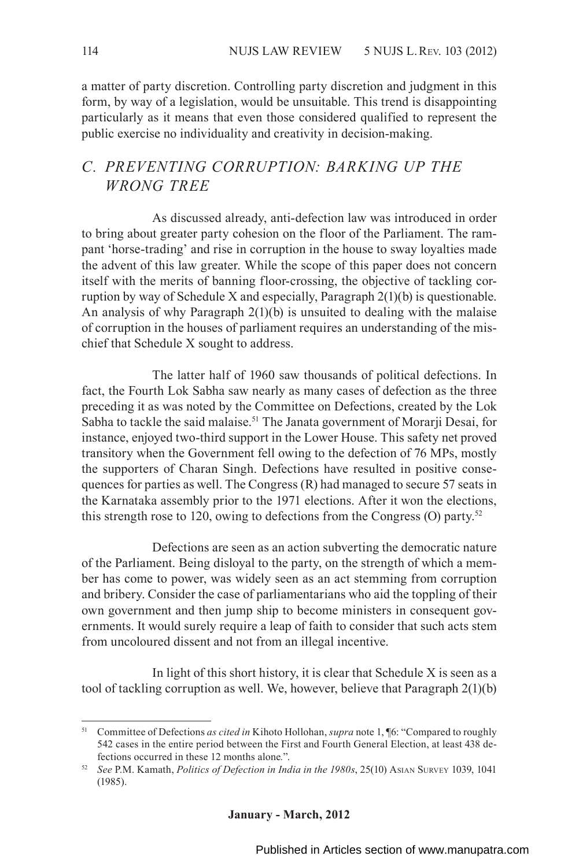a matter of party discretion. Controlling party discretion and judgment in this form, by way of a legislation, would be unsuitable. This trend is disappointing particularly as it means that even those considered qualified to represent the public exercise no individuality and creativity in decision-making.

### *C. PREVENTING CORRUPTION: BARKING UP THE WRONG TREE*

As discussed already, anti-defection law was introduced in order to bring about greater party cohesion on the floor of the Parliament. The rampant 'horse-trading' and rise in corruption in the house to sway loyalties made the advent of this law greater. While the scope of this paper does not concern itself with the merits of banning floor-crossing, the objective of tackling corruption by way of Schedule X and especially, Paragraph 2(1)(b) is questionable. An analysis of why Paragraph 2(1)(b) is unsuited to dealing with the malaise of corruption in the houses of parliament requires an understanding of the mischief that Schedule X sought to address.

The latter half of 1960 saw thousands of political defections. In fact, the Fourth Lok Sabha saw nearly as many cases of defection as the three preceding it as was noted by the Committee on Defections, created by the Lok Sabha to tackle the said malaise.<sup>51</sup> The Janata government of Morarji Desai, for instance, enjoyed two-third support in the Lower House. This safety net proved transitory when the Government fell owing to the defection of 76 MPs, mostly the supporters of Charan Singh. Defections have resulted in positive consequences for parties as well. The Congress (R) had managed to secure 57 seats in the Karnataka assembly prior to the 1971 elections. After it won the elections, this strength rose to 120, owing to defections from the Congress (O) party.<sup>52</sup>

Defections are seen as an action subverting the democratic nature of the Parliament. Being disloyal to the party, on the strength of which a member has come to power, was widely seen as an act stemming from corruption and bribery. Consider the case of parliamentarians who aid the toppling of their own government and then jump ship to become ministers in consequent governments. It would surely require a leap of faith to consider that such acts stem from uncoloured dissent and not from an illegal incentive.

In light of this short history, it is clear that Schedule X is seen as a tool of tackling corruption as well. We, however, believe that Paragraph 2(1)(b)

<sup>51</sup> Committee of Defections *as cited in* Kihoto Hollohan, *supra* note 1, ¶6: "Compared to roughly 542 cases in the entire period between the First and Fourth General Election, at least 438 defections occurred in these 12 months alone*.*".

<sup>52</sup> *See* P.M. Kamath, *Politics of Defection in India in the 1980s*, 25(10) Asian Survey 1039, 1041 (1985).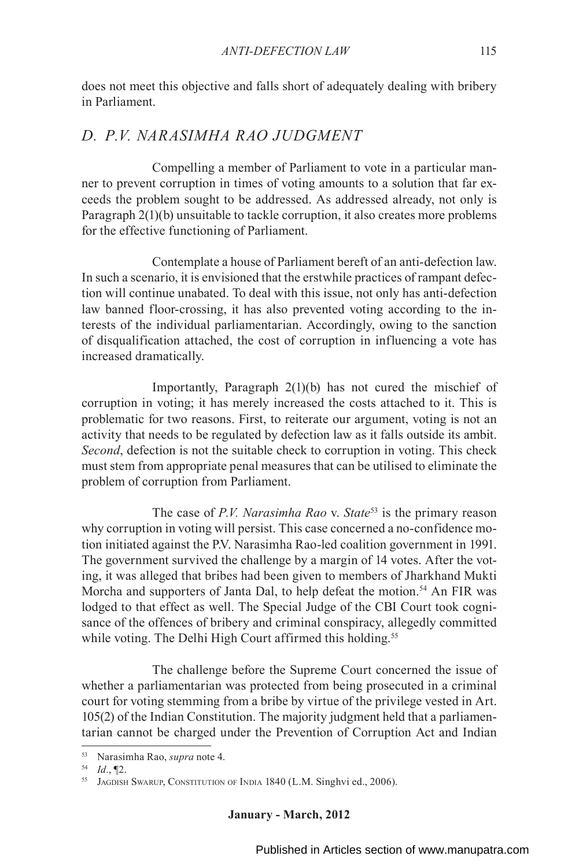does not meet this objective and falls short of adequately dealing with bribery in Parliament.

### *D. P.V. NARASIMHA RAO JUDGMENT*

Compelling a member of Parliament to vote in a particular manner to prevent corruption in times of voting amounts to a solution that far exceeds the problem sought to be addressed. As addressed already, not only is Paragraph 2(1)(b) unsuitable to tackle corruption, it also creates more problems for the effective functioning of Parliament.

Contemplate a house of Parliament bereft of an anti-defection law. In such a scenario, it is envisioned that the erstwhile practices of rampant defection will continue unabated. To deal with this issue, not only has anti-defection law banned floor-crossing, it has also prevented voting according to the interests of the individual parliamentarian. Accordingly, owing to the sanction of disqualification attached, the cost of corruption in influencing a vote has increased dramatically.

Importantly, Paragraph 2(1)(b) has not cured the mischief of corruption in voting; it has merely increased the costs attached to it. This is problematic for two reasons. First, to reiterate our argument, voting is not an activity that needs to be regulated by defection law as it falls outside its ambit. *Second*, defection is not the suitable check to corruption in voting. This check must stem from appropriate penal measures that can be utilised to eliminate the problem of corruption from Parliament.

The case of *P.V. Narasimha Rao* v. *State*<sup>53</sup> is the primary reason why corruption in voting will persist. This case concerned a no-confidence motion initiated against the P.V. Narasimha Rao-led coalition government in 1991. The government survived the challenge by a margin of 14 votes. After the voting, it was alleged that bribes had been given to members of Jharkhand Mukti Morcha and supporters of Janta Dal, to help defeat the motion.<sup>54</sup> An FIR was lodged to that effect as well. The Special Judge of the CBI Court took cognisance of the offences of bribery and criminal conspiracy, allegedly committed while voting. The Delhi High Court affirmed this holding.<sup>55</sup>

The challenge before the Supreme Court concerned the issue of whether a parliamentarian was protected from being prosecuted in a criminal court for voting stemming from a bribe by virtue of the privilege vested in Art. 105(2) of the Indian Constitution. The majority judgment held that a parliamentarian cannot be charged under the Prevention of Corruption Act and Indian

<sup>53</sup> Narasimha Rao, *supra* note 4.

<sup>54</sup> *Id.*, ¶2.

<sup>&</sup>lt;sup>55</sup> JAGDISH SWARUP, CONSTITUTION OF INDIA 1840 (L.M. Singhvi ed., 2006).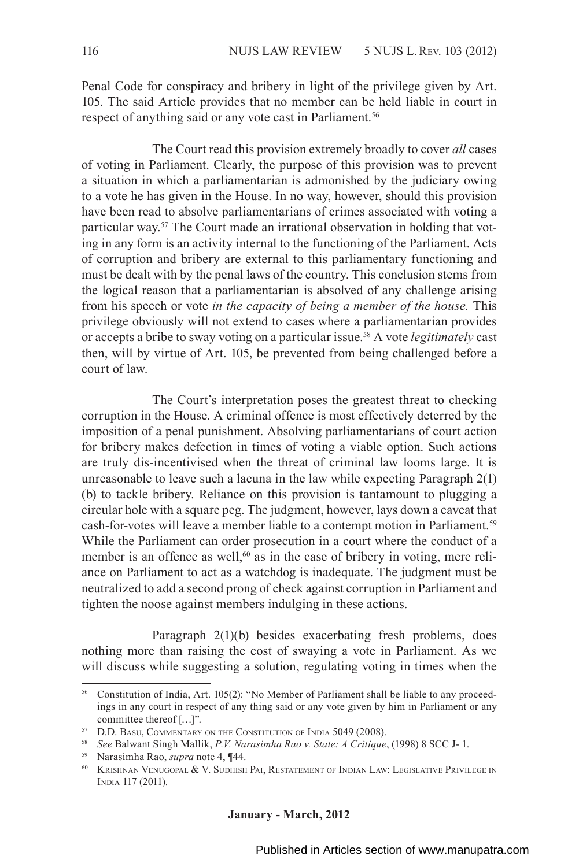Penal Code for conspiracy and bribery in light of the privilege given by Art. 105. The said Article provides that no member can be held liable in court in respect of anything said or any vote cast in Parliament.<sup>56</sup>

The Court read this provision extremely broadly to cover *all* cases of voting in Parliament. Clearly, the purpose of this provision was to prevent a situation in which a parliamentarian is admonished by the judiciary owing to a vote he has given in the House. In no way, however, should this provision have been read to absolve parliamentarians of crimes associated with voting a particular way.57 The Court made an irrational observation in holding that voting in any form is an activity internal to the functioning of the Parliament. Acts of corruption and bribery are external to this parliamentary functioning and must be dealt with by the penal laws of the country. This conclusion stems from the logical reason that a parliamentarian is absolved of any challenge arising from his speech or vote *in the capacity of being a member of the house.* This privilege obviously will not extend to cases where a parliamentarian provides or accepts a bribe to sway voting on a particular issue.58 A vote *legitimately* cast then, will by virtue of Art. 105, be prevented from being challenged before a court of law.

The Court's interpretation poses the greatest threat to checking corruption in the House. A criminal offence is most effectively deterred by the imposition of a penal punishment. Absolving parliamentarians of court action for bribery makes defection in times of voting a viable option. Such actions are truly dis-incentivised when the threat of criminal law looms large. It is unreasonable to leave such a lacuna in the law while expecting Paragraph 2(1) (b) to tackle bribery. Reliance on this provision is tantamount to plugging a circular hole with a square peg. The judgment, however, lays down a caveat that cash-for-votes will leave a member liable to a contempt motion in Parliament.<sup>59</sup> While the Parliament can order prosecution in a court where the conduct of a member is an offence as well, $60$  as in the case of bribery in voting, mere reliance on Parliament to act as a watchdog is inadequate. The judgment must be neutralized to add a second prong of check against corruption in Parliament and tighten the noose against members indulging in these actions.

Paragraph 2(1)(b) besides exacerbating fresh problems, does nothing more than raising the cost of swaying a vote in Parliament. As we will discuss while suggesting a solution, regulating voting in times when the

<sup>56</sup> Constitution of India, Art. 105(2): "No Member of Parliament shall be liable to any proceedings in any court in respect of any thing said or any vote given by him in Parliament or any committee thereof […]".

<sup>57</sup> D.D. Basu, Commentary on the Constitution of India 5049 (2008).

<sup>58</sup> *See* Balwant Singh Mallik, *P.V. Narasimha Rao v. State: A Critique*, (1998) 8 SCC J- 1.

<sup>59</sup> Narasimha Rao, *supra* note 4, ¶44.

<sup>60</sup> Krishnan Venugopal & V. Sudhish Pai, Restatement of Indian Law: Legislative Privilege in India 117 (2011).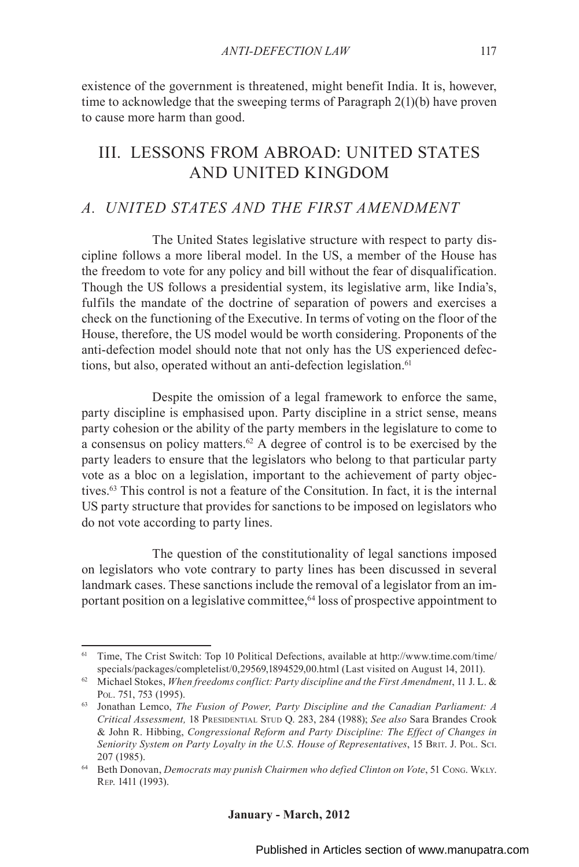existence of the government is threatened, might benefit India. It is, however, time to acknowledge that the sweeping terms of Paragraph 2(1)(b) have proven to cause more harm than good.

# III. LESSONS FROM ABROAD: UNITED STATES AND UNITED KINGDOM

### *A. UNITED STATES AND THE FIRST AMENDMENT*

The United States legislative structure with respect to party discipline follows a more liberal model. In the US, a member of the House has the freedom to vote for any policy and bill without the fear of disqualification. Though the US follows a presidential system, its legislative arm, like India's, fulfils the mandate of the doctrine of separation of powers and exercises a check on the functioning of the Executive. In terms of voting on the floor of the House, therefore, the US model would be worth considering. Proponents of the anti-defection model should note that not only has the US experienced defections, but also, operated without an anti-defection legislation.<sup>61</sup>

Despite the omission of a legal framework to enforce the same, party discipline is emphasised upon. Party discipline in a strict sense, means party cohesion or the ability of the party members in the legislature to come to a consensus on policy matters.62 A degree of control is to be exercised by the party leaders to ensure that the legislators who belong to that particular party vote as a bloc on a legislation, important to the achievement of party objectives.63 This control is not a feature of the Consitution. In fact, it is the internal US party structure that provides for sanctions to be imposed on legislators who do not vote according to party lines.

The question of the constitutionality of legal sanctions imposed on legislators who vote contrary to party lines has been discussed in several landmark cases. These sanctions include the removal of a legislator from an important position on a legislative committee,<sup>64</sup> loss of prospective appointment to

<sup>61</sup> Time, The Crist Switch: Top 10 Political Defections, available at http://www.time.com/time/ specials/packages/completelist/0,29569,1894529,00.html (Last visited on August 14, 2011).

<sup>62</sup> Michael Stokes, *When freedoms conflict: Party discipline and the First Amendment*, 11 J. L. & Pol. 751, 753 (1995).

<sup>63</sup> Jonathan Lemco, *The Fusion of Power, Party Discipline and the Canadian Parliament: A Critical Assessment,* 18 Presidential Stud Q. 283, 284 (1988); *See also* Sara Brandes Crook & John R. Hibbing, *Congressional Reform and Party Discipline: The Effect of Changes in Seniority System on Party Loyalty in the U.S. House of Representatives*, 15 Brit. J. Pol. Sci. 207 (1985).

<sup>64</sup> Beth Donovan, *Democrats may punish Chairmen who defied Clinton on Vote*, 51 Cong. Wkly. Rep. 1411 (1993).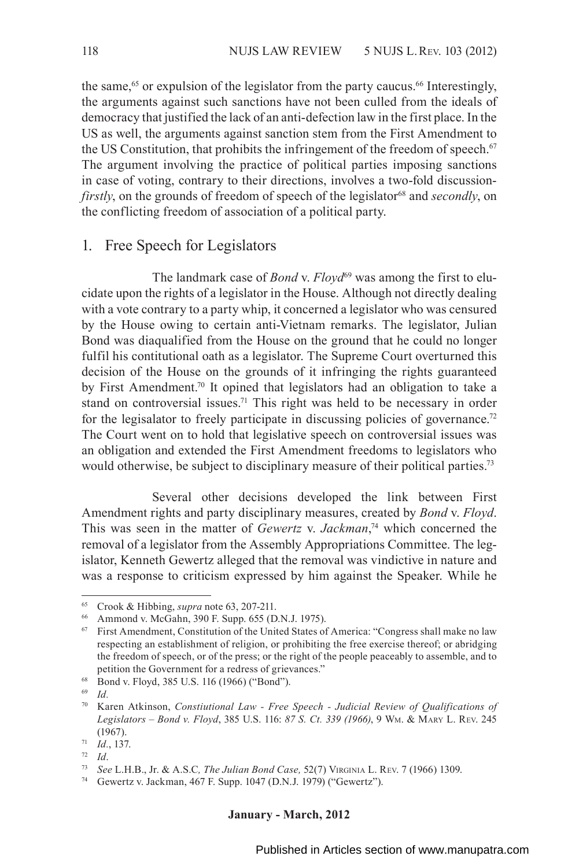the same,<sup>65</sup> or expulsion of the legislator from the party caucus.<sup>66</sup> Interestingly, the arguments against such sanctions have not been culled from the ideals of democracy that justified the lack of an anti-defection law in the first place. In the US as well, the arguments against sanction stem from the First Amendment to the US Constitution, that prohibits the infringement of the freedom of speech. $67$ The argument involving the practice of political parties imposing sanctions in case of voting, contrary to their directions, involves a two-fold discussion*firstly*, on the grounds of freedom of speech of the legislator<sup>68</sup> and *secondly*, on the conflicting freedom of association of a political party.

#### 1. Free Speech for Legislators

The landmark case of *Bond v. Floyd*<sup>69</sup> was among the first to elucidate upon the rights of a legislator in the House. Although not directly dealing with a vote contrary to a party whip, it concerned a legislator who was censured by the House owing to certain anti-Vietnam remarks. The legislator, Julian Bond was diaqualified from the House on the ground that he could no longer fulfil his contitutional oath as a legislator. The Supreme Court overturned this decision of the House on the grounds of it infringing the rights guaranteed by First Amendment.<sup>70</sup> It opined that legislators had an obligation to take a stand on controversial issues.<sup>71</sup> This right was held to be necessary in order for the legisalator to freely participate in discussing policies of governance.<sup>72</sup> The Court went on to hold that legislative speech on controversial issues was an obligation and extended the First Amendment freedoms to legislators who would otherwise, be subject to disciplinary measure of their political parties.<sup>73</sup>

Several other decisions developed the link between First Amendment rights and party disciplinary measures, created by *Bond* v. *Floyd*. This was seen in the matter of *Gewertz* v. *Jackman*, 74 which concerned the removal of a legislator from the Assembly Appropriations Committee. The legislator, Kenneth Gewertz alleged that the removal was vindictive in nature and was a response to criticism expressed by him against the Speaker. While he

#### **January - March, 2012**

<sup>65</sup> Crook & Hibbing, *supra* note 63, 207-211.

<sup>66</sup> Ammond v. McGahn, 390 F. Supp. 655 (D.N.J. 1975).

 $67$  First Amendment, Constitution of the United States of America: "Congress shall make no law respecting an establishment of religion, or prohibiting the free exercise thereof; or abridging the freedom of speech, or of the press; or the right of the people peaceably to assemble, and to petition the Government for a redress of grievances."

<sup>68</sup> Bond v. Floyd, 385 U.S. 116 (1966) ("Bond").

<sup>69</sup> *Id.*

<sup>70</sup> Karen Atkinson, *Constiutional Law - Free Speech - Judicial Review of Qualifications of Legislators – Bond v. Floyd*, 385 U.S. 116: *87 S. Ct. 339 (1966)*, 9 Wm. & Mary L. Rev. 245 (1967).

<sup>71</sup> *Id.*, 137.

<sup>72</sup> *Id*.

<sup>73</sup> *See* L.H.B., Jr. & A.S.C*, The Julian Bond Case,* 52(7) Virginia L. Rev. 7 (1966) 1309.

<sup>74</sup> Gewertz v. Jackman, 467 F. Supp. 1047 (D.N.J. 1979) ("Gewertz").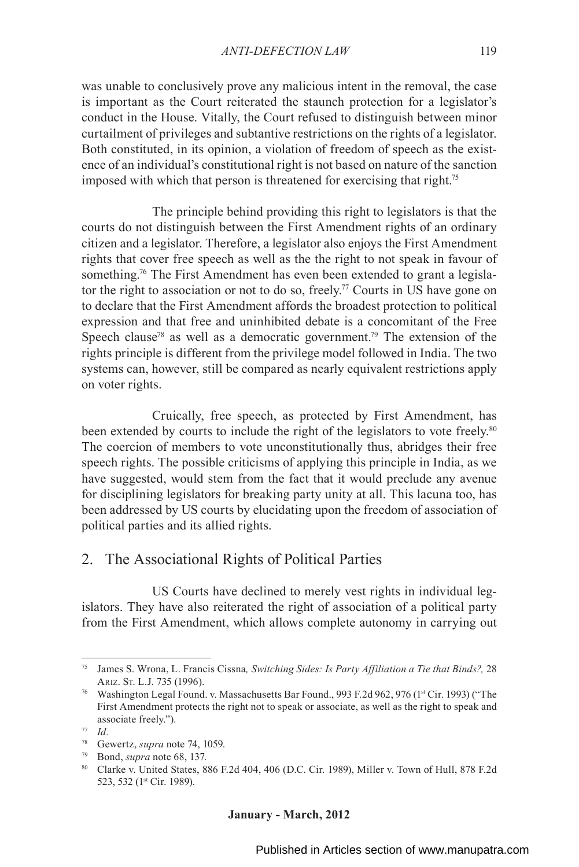was unable to conclusively prove any malicious intent in the removal, the case is important as the Court reiterated the staunch protection for a legislator's conduct in the House. Vitally, the Court refused to distinguish between minor curtailment of privileges and subtantive restrictions on the rights of a legislator. Both constituted, in its opinion, a violation of freedom of speech as the existence of an individual's constitutional right is not based on nature of the sanction imposed with which that person is threatened for exercising that right.<sup>75</sup>

The principle behind providing this right to legislators is that the courts do not distinguish between the First Amendment rights of an ordinary citizen and a legislator. Therefore, a legislator also enjoys the First Amendment rights that cover free speech as well as the the right to not speak in favour of something.<sup>76</sup> The First Amendment has even been extended to grant a legislator the right to association or not to do so, freely.<sup>77</sup> Courts in US have gone on to declare that the First Amendment affords the broadest protection to political expression and that free and uninhibited debate is a concomitant of the Free Speech clause<sup>78</sup> as well as a democratic government.<sup>79</sup> The extension of the rights principle is different from the privilege model followed in India. The two systems can, however, still be compared as nearly equivalent restrictions apply on voter rights.

Cruically, free speech, as protected by First Amendment, has been extended by courts to include the right of the legislators to vote freely.<sup>80</sup> The coercion of members to vote unconstitutionally thus, abridges their free speech rights. The possible criticisms of applying this principle in India, as we have suggested, would stem from the fact that it would preclude any avenue for disciplining legislators for breaking party unity at all. This lacuna too, has been addressed by US courts by elucidating upon the freedom of association of political parties and its allied rights.

#### 2. The Associational Rights of Political Parties

US Courts have declined to merely vest rights in individual legislators. They have also reiterated the right of association of a political party from the First Amendment, which allows complete autonomy in carrying out

<sup>75</sup> James S. Wrona, L. Francis Cissna*, Switching Sides: Is Party Affiliation a Tie that Binds?,* 28 Ariz. St. L.J. 735 (1996).

<sup>&</sup>lt;sup>76</sup> Washington Legal Found. v. Massachusetts Bar Found., 993 F.2d 962, 976 (1<sup>st</sup> Cir. 1993) ("The First Amendment protects the right not to speak or associate, as well as the right to speak and associate freely.").

<sup>77</sup> *Id.* 

<sup>78</sup> Gewertz, *supra* note 74, 1059.

<sup>79</sup> Bond, *supra* note 68, 137.

<sup>80</sup> Clarke v. United States, 886 F.2d 404, 406 (D.C. Cir. 1989), Miller v. Town of Hull, 878 F.2d 523, 532 (1st Cir. 1989).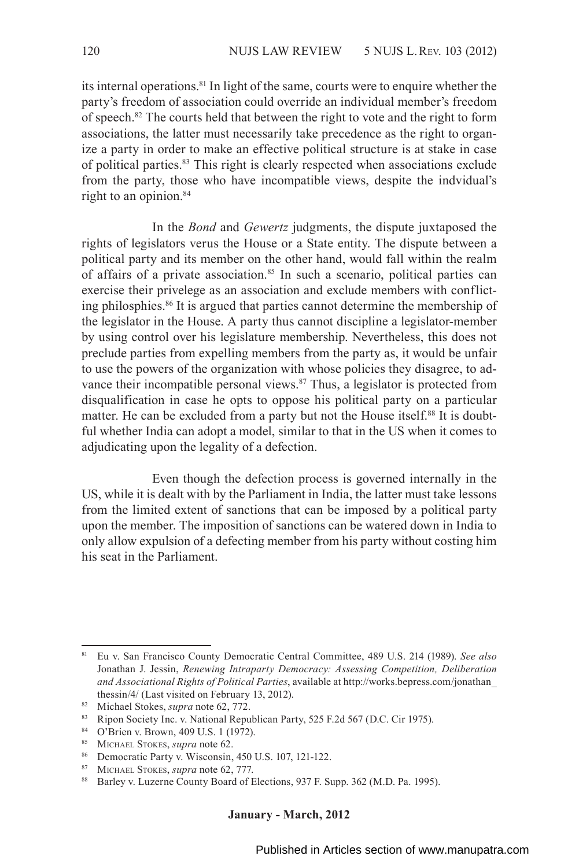its internal operations.81 In light of the same, courts were to enquire whether the party's freedom of association could override an individual member's freedom of speech.82 The courts held that between the right to vote and the right to form associations, the latter must necessarily take precedence as the right to organize a party in order to make an effective political structure is at stake in case of political parties.83 This right is clearly respected when associations exclude from the party, those who have incompatible views, despite the indvidual's right to an opinion.<sup>84</sup>

In the *Bond* and *Gewertz* judgments, the dispute juxtaposed the rights of legislators verus the House or a State entity. The dispute between a political party and its member on the other hand, would fall within the realm of affairs of a private association.<sup>85</sup> In such a scenario, political parties can exercise their privelege as an association and exclude members with conflicting philosphies.86 It is argued that parties cannot determine the membership of the legislator in the House. A party thus cannot discipline a legislator-member by using control over his legislature membership. Nevertheless, this does not preclude parties from expelling members from the party as, it would be unfair to use the powers of the organization with whose policies they disagree, to advance their incompatible personal views.<sup>87</sup> Thus, a legislator is protected from disqualification in case he opts to oppose his political party on a particular matter. He can be excluded from a party but not the House itself.<sup>88</sup> It is doubtful whether India can adopt a model, similar to that in the US when it comes to adjudicating upon the legality of a defection.

Even though the defection process is governed internally in the US, while it is dealt with by the Parliament in India, the latter must take lessons from the limited extent of sanctions that can be imposed by a political party upon the member. The imposition of sanctions can be watered down in India to only allow expulsion of a defecting member from his party without costing him his seat in the Parliament.

<sup>81</sup> Eu v. San Francisco County Democratic Central Committee, 489 U.S. 214 (1989). *See also*  Jonathan J. Jessin, *Renewing Intraparty Democracy: Assessing Competition, Deliberation and Associational Rights of Political Parties*, available at http://works.bepress.com/jonathan\_

<sup>&</sup>lt;sup>82</sup> Michael Stokes, *supra* note 62, 772.

<sup>83</sup> Ripon Society Inc. v. National Republican Party, 525 F.2d 567 (D.C. Cir 1975).

<sup>84</sup> O'Brien v. Brown, 409 U.S. 1 (1972).

<sup>85</sup> Michael Stokes, *supra* note 62.

<sup>86</sup> Democratic Party v. Wisconsin, 450 U.S. 107, 121-122.

<sup>87</sup> MICHAEL STOKES, *supra* note 62, 777.<br>88 Barley v Luzerne County Board of F

Barley v. Luzerne County Board of Elections, 937 F. Supp. 362 (M.D. Pa. 1995).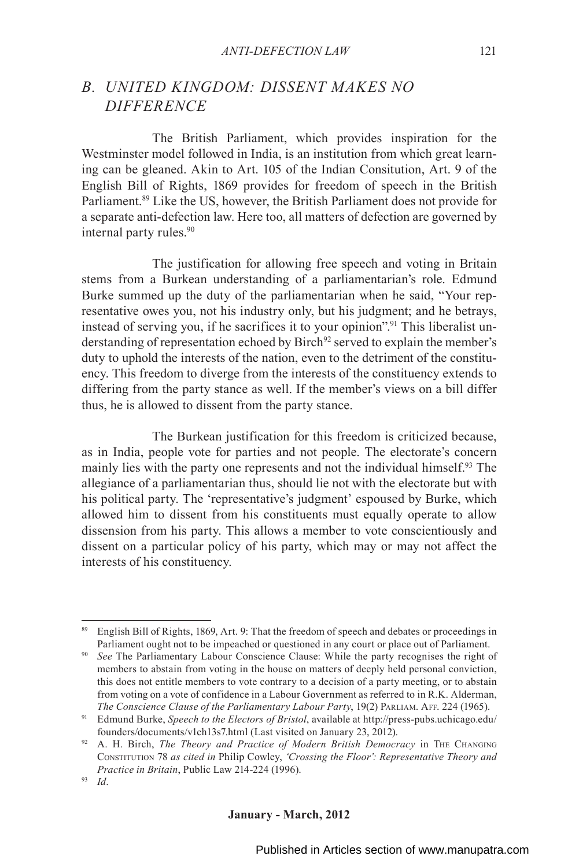### *B. UNITED KINGDOM: DISSENT MAKES NO DIFFERENCE*

The British Parliament, which provides inspiration for the Westminster model followed in India, is an institution from which great learning can be gleaned. Akin to Art. 105 of the Indian Consitution, Art. 9 of the English Bill of Rights, 1869 provides for freedom of speech in the British Parliament.<sup>89</sup> Like the US, however, the British Parliament does not provide for a separate anti-defection law. Here too, all matters of defection are governed by internal party rules.<sup>90</sup>

The justification for allowing free speech and voting in Britain stems from a Burkean understanding of a parliamentarian's role. Edmund Burke summed up the duty of the parliamentarian when he said, "Your representative owes you, not his industry only, but his judgment; and he betrays, instead of serving you, if he sacrifices it to your opinion".<sup>91</sup> This liberalist understanding of representation echoed by Birch<sup>92</sup> served to explain the member's duty to uphold the interests of the nation, even to the detriment of the constituency. This freedom to diverge from the interests of the constituency extends to differing from the party stance as well. If the member's views on a bill differ thus, he is allowed to dissent from the party stance.

The Burkean justification for this freedom is criticized because, as in India, people vote for parties and not people. The electorate's concern mainly lies with the party one represents and not the individual himself.<sup>93</sup> The allegiance of a parliamentarian thus, should lie not with the electorate but with his political party. The 'representative's judgment' espoused by Burke, which allowed him to dissent from his constituents must equally operate to allow dissension from his party. This allows a member to vote conscientiously and dissent on a particular policy of his party, which may or may not affect the interests of his constituency.

<sup>&</sup>lt;sup>89</sup> English Bill of Rights, 1869, Art. 9: That the freedom of speech and debates or proceedings in Parliament ought not to be impeached or questioned in any court or place out of Parliament.

<sup>90</sup> *See* The Parliamentary Labour Conscience Clause: While the party recognises the right of members to abstain from voting in the house on matters of deeply held personal conviction, this does not entitle members to vote contrary to a decision of a party meeting, or to abstain from voting on a vote of confidence in a Labour Government as referred to in R.K. Alderman,

*The Conscience Clause of the Parliamentary Labour Party*, 19(2) PARLIAM. AFF. 224 (1965).<br><sup>91</sup> Edmund Burke, *Speech to the Electors of Bristol*, available at http://press-pubs.uchicago.edu/ founders/documents/v1ch13s7.html (Last visited on January 23, 2012). 92 A. H. Birch, *The Theory and Practice of Modern British Democracy* in The Changing

Constitution 78 *as cited in* Philip Cowley, *'Crossing the Floor': Representative Theory and Practice in Britain*, Public Law 214-224 (1996). 93 *Id*.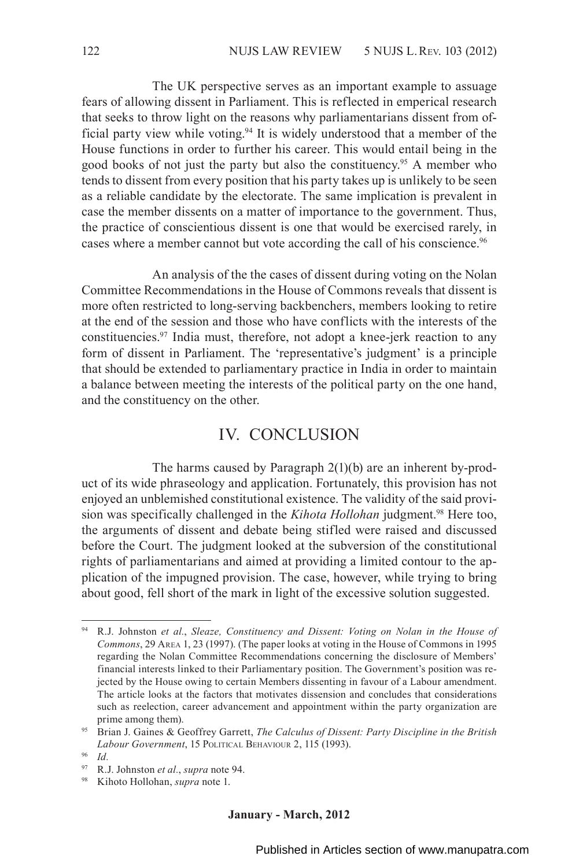The UK perspective serves as an important example to assuage fears of allowing dissent in Parliament. This is reflected in emperical research that seeks to throw light on the reasons why parliamentarians dissent from official party view while voting.94 It is widely understood that a member of the House functions in order to further his career. This would entail being in the good books of not just the party but also the constituency.<sup>95</sup> A member who tends to dissent from every position that his party takes up is unlikely to be seen as a reliable candidate by the electorate. The same implication is prevalent in case the member dissents on a matter of importance to the government. Thus, the practice of conscientious dissent is one that would be exercised rarely, in cases where a member cannot but vote according the call of his conscience.<sup>96</sup>

An analysis of the the cases of dissent during voting on the Nolan Committee Recommendations in the House of Commons reveals that dissent is more often restricted to long-serving backbenchers, members looking to retire at the end of the session and those who have conflicts with the interests of the constituencies.97 India must, therefore, not adopt a knee-jerk reaction to any form of dissent in Parliament. The 'representative's judgment' is a principle that should be extended to parliamentary practice in India in order to maintain a balance between meeting the interests of the political party on the one hand, and the constituency on the other.

# IV. CONCLUSION

The harms caused by Paragraph 2(1)(b) are an inherent by-product of its wide phraseology and application. Fortunately, this provision has not enjoyed an unblemished constitutional existence. The validity of the said provision was specifically challenged in the *Kihota Hollohan* judgment.98 Here too, the arguments of dissent and debate being stifled were raised and discussed before the Court. The judgment looked at the subversion of the constitutional rights of parliamentarians and aimed at providing a limited contour to the application of the impugned provision. The case, however, while trying to bring about good, fell short of the mark in light of the excessive solution suggested.

<sup>94</sup> R.J. Johnston *et al.*, *Sleaze, Constituency and Dissent: Voting on Nolan in the House of Commons*, 29 Area 1, 23 (1997). (The paper looks at voting in the House of Commons in 1995 regarding the Nolan Committee Recommendations concerning the disclosure of Members' financial interests linked to their Parliamentary position. The Government's position was rejected by the House owing to certain Members dissenting in favour of a Labour amendment. The article looks at the factors that motivates dissension and concludes that considerations such as reelection, career advancement and appointment within the party organization are prime among them).

<sup>95</sup> Brian J. Gaines & Geoffrey Garrett, *The Calculus of Dissent: Party Discipline in the British Labour Government*, 15 Political Behaviour 2, 115 (1993).

<sup>96</sup> *Id.* 

<sup>97</sup> R.J. Johnston *et al.*, *supra* note 94.

<sup>98</sup> Kihoto Hollohan, *supra* note 1.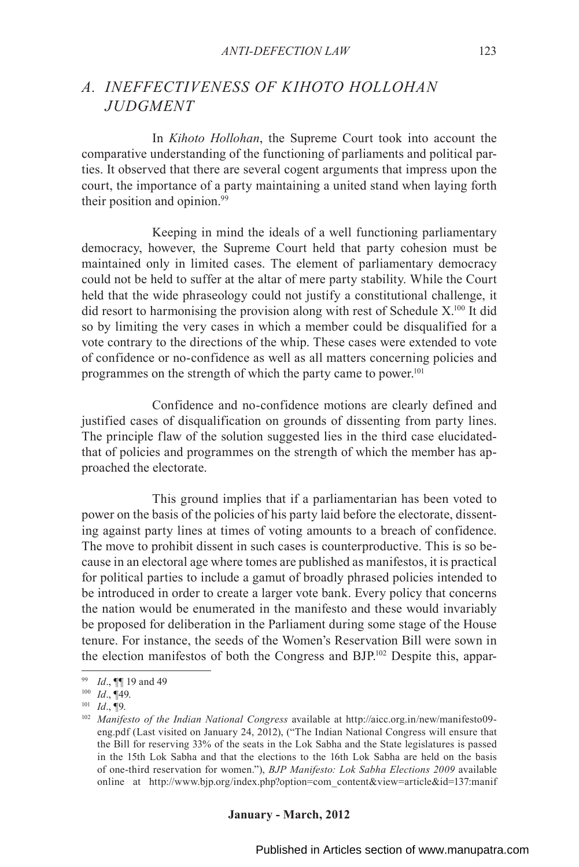### *A. INEFFECTIVENESS OF KIHOTO HOLLOHAN JUDGMENT*

In *Kihoto Hollohan*, the Supreme Court took into account the comparative understanding of the functioning of parliaments and political parties. It observed that there are several cogent arguments that impress upon the court, the importance of a party maintaining a united stand when laying forth their position and opinion.99

Keeping in mind the ideals of a well functioning parliamentary democracy, however, the Supreme Court held that party cohesion must be maintained only in limited cases. The element of parliamentary democracy could not be held to suffer at the altar of mere party stability. While the Court held that the wide phraseology could not justify a constitutional challenge, it did resort to harmonising the provision along with rest of Schedule  $X<sup>100</sup>$  It did so by limiting the very cases in which a member could be disqualified for a vote contrary to the directions of the whip. These cases were extended to vote of confidence or no-confidence as well as all matters concerning policies and programmes on the strength of which the party came to power.<sup>101</sup>

Confidence and no-confidence motions are clearly defined and justified cases of disqualification on grounds of dissenting from party lines. The principle flaw of the solution suggested lies in the third case elucidatedthat of policies and programmes on the strength of which the member has approached the electorate.

This ground implies that if a parliamentarian has been voted to power on the basis of the policies of his party laid before the electorate, dissenting against party lines at times of voting amounts to a breach of confidence. The move to prohibit dissent in such cases is counterproductive. This is so because in an electoral age where tomes are published as manifestos, it is practical for political parties to include a gamut of broadly phrased policies intended to be introduced in order to create a larger vote bank. Every policy that concerns the nation would be enumerated in the manifesto and these would invariably be proposed for deliberation in the Parliament during some stage of the House tenure. For instance, the seeds of the Women's Reservation Bill were sown in the election manifestos of both the Congress and BJP.102 Despite this, appar-

<sup>99</sup> *Id*., ¶¶ 19 and 49

<sup>100</sup> *Id*., ¶49.

<sup>101</sup> *Id*., ¶9.

<sup>102</sup> *Manifesto of the Indian National Congress* available at http://aicc.org.in/new/manifesto09 eng.pdf (Last visited on January 24, 2012), ("The Indian National Congress will ensure that the Bill for reserving 33% of the seats in the Lok Sabha and the State legislatures is passed in the 15th Lok Sabha and that the elections to the 16th Lok Sabha are held on the basis of one-third reservation for women."), *BJP Manifesto: Lok Sabha Elections 2009* available online at http://www.bjp.org/index.php?option=com\_content&view=article&id=137:manif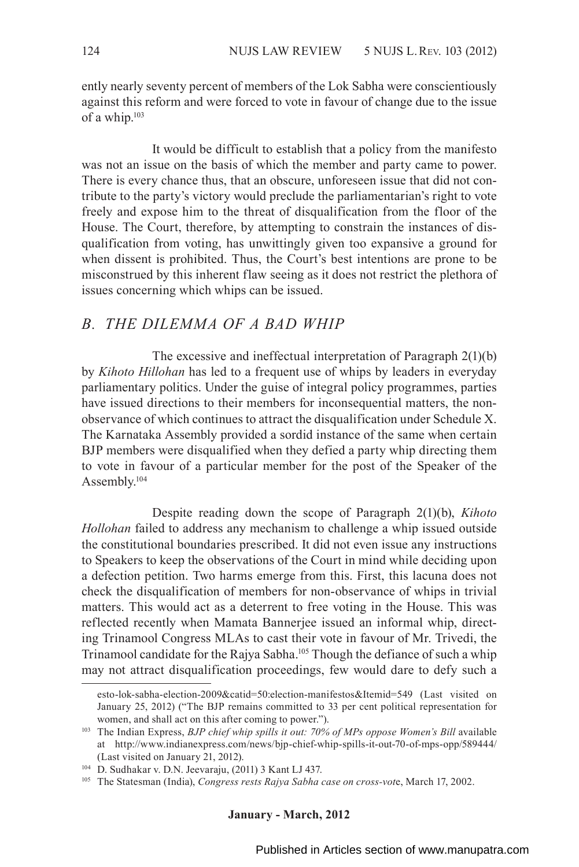ently nearly seventy percent of members of the Lok Sabha were conscientiously against this reform and were forced to vote in favour of change due to the issue of a whip.103

It would be difficult to establish that a policy from the manifesto was not an issue on the basis of which the member and party came to power. There is every chance thus, that an obscure, unforeseen issue that did not contribute to the party's victory would preclude the parliamentarian's right to vote freely and expose him to the threat of disqualification from the floor of the House. The Court, therefore, by attempting to constrain the instances of disqualification from voting, has unwittingly given too expansive a ground for when dissent is prohibited. Thus, the Court's best intentions are prone to be misconstrued by this inherent flaw seeing as it does not restrict the plethora of issues concerning which whips can be issued.

### *B. THE DILEMMA OF A BAD WHIP*

The excessive and ineffectual interpretation of Paragraph 2(1)(b) by *Kihoto Hillohan* has led to a frequent use of whips by leaders in everyday parliamentary politics. Under the guise of integral policy programmes, parties have issued directions to their members for inconsequential matters, the nonobservance of which continues to attract the disqualification under Schedule X. The Karnataka Assembly provided a sordid instance of the same when certain BJP members were disqualified when they defied a party whip directing them to vote in favour of a particular member for the post of the Speaker of the Assembly.104

Despite reading down the scope of Paragraph 2(1)(b), *Kihoto Hollohan* failed to address any mechanism to challenge a whip issued outside the constitutional boundaries prescribed. It did not even issue any instructions to Speakers to keep the observations of the Court in mind while deciding upon a defection petition. Two harms emerge from this. First, this lacuna does not check the disqualification of members for non-observance of whips in trivial matters. This would act as a deterrent to free voting in the House. This was reflected recently when Mamata Bannerjee issued an informal whip, directing Trinamool Congress MLAs to cast their vote in favour of Mr. Trivedi, the Trinamool candidate for the Rajya Sabha.<sup>105</sup> Though the defiance of such a whip may not attract disqualification proceedings, few would dare to defy such a

esto-lok-sabha-election-2009&catid=50:election-manifestos&Itemid=549 (Last visited on January 25, 2012) ("The BJP remains committed to 33 per cent political representation for women, and shall act on this after coming to power.").

<sup>&</sup>lt;sup>103</sup> The Indian Express, *BJP chief whip spills it out: 70% of MPs oppose Women's Bill available* at http://www.indianexpress.com/news/bjp-chief-whip-spills-it-out-70-of-mps-opp/589444/ (Last visited on January 21, 2012). 104 D. Sudhakar v. D.N. Jeevaraju, (2011) 3 Kant LJ 437.

<sup>105</sup> The Statesman (India), *Congress rests Rajya Sabha case on cross-vot*e, March 17, 2002.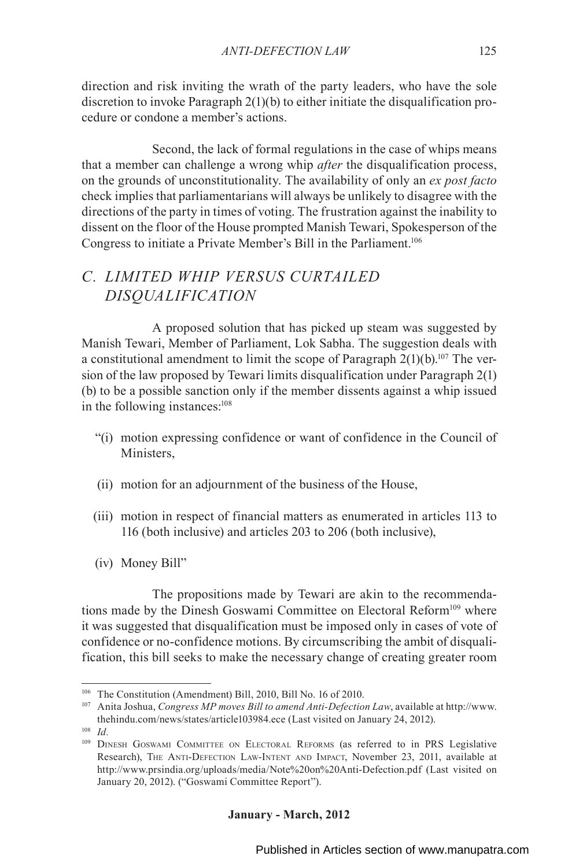direction and risk inviting the wrath of the party leaders, who have the sole discretion to invoke Paragraph 2(1)(b) to either initiate the disqualification procedure or condone a member's actions.

Second, the lack of formal regulations in the case of whips means that a member can challenge a wrong whip *after* the disqualification process, on the grounds of unconstitutionality. The availability of only an *ex post facto* check implies that parliamentarians will always be unlikely to disagree with the directions of the party in times of voting. The frustration against the inability to dissent on the floor of the House prompted Manish Tewari, Spokesperson of the Congress to initiate a Private Member's Bill in the Parliament.106

# *C. LIMITED WHIP VERSUS CURTAILED DISQUALIFICATION*

A proposed solution that has picked up steam was suggested by Manish Tewari, Member of Parliament, Lok Sabha. The suggestion deals with a constitutional amendment to limit the scope of Paragraph  $2(1)(b)$ .<sup>107</sup> The version of the law proposed by Tewari limits disqualification under Paragraph 2(1) (b) to be a possible sanction only if the member dissents against a whip issued in the following instances:108

- "(i) motion expressing confidence or want of confidence in the Council of Ministers,
- (ii) motion for an adjournment of the business of the House,
- (iii) motion in respect of financial matters as enumerated in articles 113 to 116 (both inclusive) and articles 203 to 206 (both inclusive),
- (iv) Money Bill"

The propositions made by Tewari are akin to the recommendations made by the Dinesh Goswami Committee on Electoral Reform<sup>109</sup> where it was suggested that disqualification must be imposed only in cases of vote of confidence or no-confidence motions. By circumscribing the ambit of disqualification, this bill seeks to make the necessary change of creating greater room

<sup>106</sup> The Constitution (Amendment) Bill, 2010, Bill No. 16 of 2010.

<sup>107</sup> Anita Joshua, *Congress MP moves Bill to amend Anti-Defection Law*, available at http://www. thehindu.com/news/states/article103984.ece (Last visited on January 24, 2012).

<sup>108</sup> *Id.*

<sup>109</sup> DINESH GOSWAMI COMMITTEE ON ELECTORAL REFORMS (as referred to in PRS Legislative Research), The Anti-Defection Law-Intent and Impact, November 23, 2011, available at http://www.prsindia.org/uploads/media/Note%20on%20Anti-Defection.pdf (Last visited on January 20, 2012). ("Goswami Committee Report").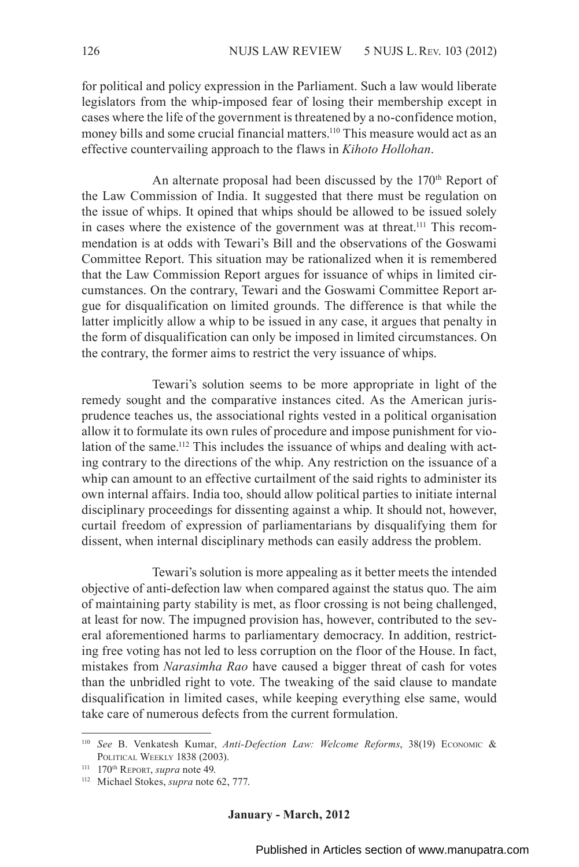for political and policy expression in the Parliament. Such a law would liberate legislators from the whip-imposed fear of losing their membership except in cases where the life of the government is threatened by a no-confidence motion, money bills and some crucial financial matters.<sup>110</sup> This measure would act as an effective countervailing approach to the flaws in *Kihoto Hollohan*.

An alternate proposal had been discussed by the 170<sup>th</sup> Report of the Law Commission of India. It suggested that there must be regulation on the issue of whips. It opined that whips should be allowed to be issued solely in cases where the existence of the government was at threat.<sup>111</sup> This recommendation is at odds with Tewari's Bill and the observations of the Goswami Committee Report. This situation may be rationalized when it is remembered that the Law Commission Report argues for issuance of whips in limited circumstances. On the contrary, Tewari and the Goswami Committee Report argue for disqualification on limited grounds. The difference is that while the latter implicitly allow a whip to be issued in any case, it argues that penalty in the form of disqualification can only be imposed in limited circumstances. On the contrary, the former aims to restrict the very issuance of whips.

Tewari's solution seems to be more appropriate in light of the remedy sought and the comparative instances cited. As the American jurisprudence teaches us, the associational rights vested in a political organisation allow it to formulate its own rules of procedure and impose punishment for violation of the same.<sup>112</sup> This includes the issuance of whips and dealing with acting contrary to the directions of the whip. Any restriction on the issuance of a whip can amount to an effective curtailment of the said rights to administer its own internal affairs. India too, should allow political parties to initiate internal disciplinary proceedings for dissenting against a whip. It should not, however, curtail freedom of expression of parliamentarians by disqualifying them for dissent, when internal disciplinary methods can easily address the problem.

Tewari's solution is more appealing as it better meets the intended objective of anti-defection law when compared against the status quo. The aim of maintaining party stability is met, as floor crossing is not being challenged, at least for now. The impugned provision has, however, contributed to the several aforementioned harms to parliamentary democracy. In addition, restricting free voting has not led to less corruption on the floor of the House. In fact, mistakes from *Narasimha Rao* have caused a bigger threat of cash for votes than the unbridled right to vote. The tweaking of the said clause to mandate disqualification in limited cases, while keeping everything else same, would take care of numerous defects from the current formulation.

<sup>110</sup> *See* B. Venkatesh Kumar, *Anti-Defection Law: Welcome Reforms*, 38(19) Economic & POLITICAL WEEKLY 1838 (2003).<br><sup>111</sup> 170<sup>th</sup> Report, *supra* note 49.

<sup>&</sup>lt;sup>112</sup> Michael Stokes, *supra* note 62, 777.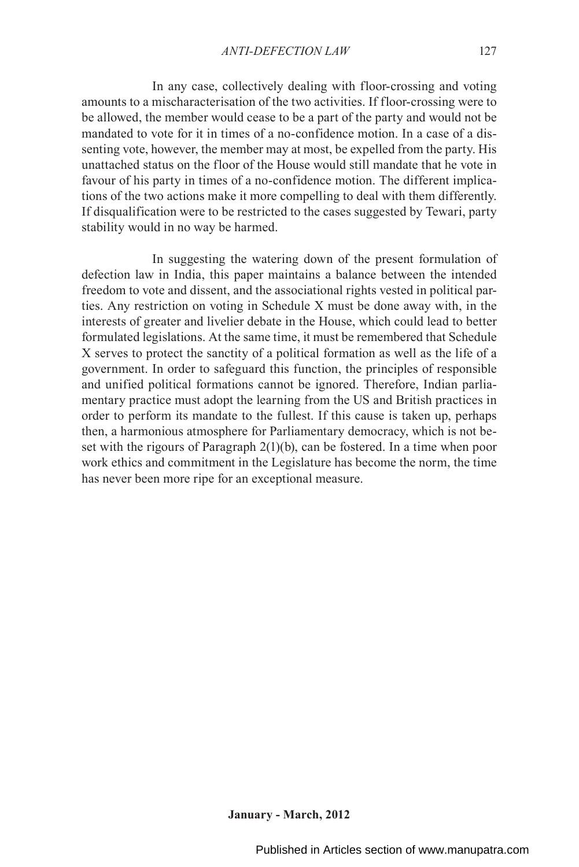In any case, collectively dealing with floor-crossing and voting amounts to a mischaracterisation of the two activities. If floor-crossing were to be allowed, the member would cease to be a part of the party and would not be mandated to vote for it in times of a no-confidence motion. In a case of a dissenting vote, however, the member may at most, be expelled from the party. His unattached status on the floor of the House would still mandate that he vote in favour of his party in times of a no-confidence motion. The different implications of the two actions make it more compelling to deal with them differently. If disqualification were to be restricted to the cases suggested by Tewari, party stability would in no way be harmed.

In suggesting the watering down of the present formulation of defection law in India, this paper maintains a balance between the intended freedom to vote and dissent, and the associational rights vested in political parties. Any restriction on voting in Schedule X must be done away with, in the interests of greater and livelier debate in the House, which could lead to better formulated legislations. At the same time, it must be remembered that Schedule X serves to protect the sanctity of a political formation as well as the life of a government. In order to safeguard this function, the principles of responsible and unified political formations cannot be ignored. Therefore, Indian parliamentary practice must adopt the learning from the US and British practices in order to perform its mandate to the fullest. If this cause is taken up, perhaps then, a harmonious atmosphere for Parliamentary democracy, which is not beset with the rigours of Paragraph 2(1)(b), can be fostered. In a time when poor work ethics and commitment in the Legislature has become the norm, the time has never been more ripe for an exceptional measure.

Published in Articles section of www.manupatra.com